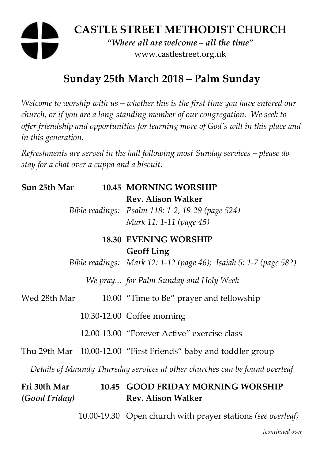# **CASTLE STREET METHODIST CHURCH**  *"Where all are welcome – all the time"*  www.castlestreet.org.uk

# **Sunday 25th March 2018 – Palm Sunday**

*Welcome to worship with us – whether this is the first time you have entered our church, or if you are a long-standing member of our congregation. We seek to offer friendship and opportunities for learning more of God's will in this place and in this generation.* 

*Refreshments are served in the hall following most Sunday services – please do stay for a chat over a cuppa and a biscuit.* 

| Sun 25th Mar                  | <b>10.45 MORNING WORSHIP</b>                                                                             |
|-------------------------------|----------------------------------------------------------------------------------------------------------|
|                               | <b>Rev. Alison Walker</b><br>Bible readings: Psalm 118: 1-2, 19-29 (page 524)<br>Mark 11: 1-11 (page 45) |
|                               | <b>18.30 EVENING WORSHIP</b>                                                                             |
|                               | <b>Geoff Ling</b><br>Bible readings: Mark 12: 1-12 (page 46); Isaiah 5: 1-7 (page 582)                   |
|                               | We pray for Palm Sunday and Holy Week                                                                    |
| Wed 28th Mar                  | 10.00 "Time to Be" prayer and fellowship                                                                 |
|                               | 10.30-12.00 Coffee morning                                                                               |
|                               | 12.00-13.00 "Forever Active" exercise class                                                              |
|                               | Thu 29th Mar 10.00-12.00 "First Friends" baby and toddler group                                          |
|                               | Details of Maundy Thursday services at other churches can be found overleaf                              |
| Fri 30th Mar<br>(Good Friday) | 10.45 GOOD FRIDAY MORNING WORSHIP<br><b>Rev. Alison Walker</b>                                           |

10.00-19.30 Open church with prayer stations *(see overleaf)* 

*[continued over*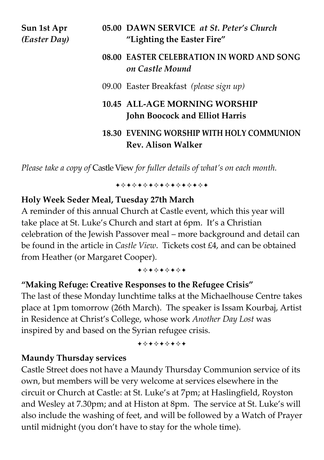| Sun 1st Apr  |  |
|--------------|--|
| (Easter Day) |  |

#### **08.00 EASTER CELEBRATION IN WORD AND SONG** *on Castle Mound*

09.00 Easter Breakfast *(please sign up)* 

# **10.45 ALL-AGE MORNING WORSHIP John Boocock and Elliot Harris**

## **18.30 EVENING WORSHIP WITH HOLY COMMUNION Rev. Alison Walker**

*Please take a copy of* Castle View *for fuller details of what's on each month.*

**\*\*\*\*\*\*\*\*\*\*\*\*\*\*\*\*\*** 

#### **Holy Week Seder Meal, Tuesday 27th March**

A reminder of this annual Church at Castle event, which this year will take place at St. Luke's Church and start at 6pm. It's a Christian celebration of the Jewish Passover meal – more background and detail can be found in the article in *Castle View*. Tickets cost £4, and can be obtained from Heather (or Margaret Cooper).

+\*+\*+\*+\*+

# **"Making Refuge: Creative Responses to the Refugee Crisis"**

The last of these Monday lunchtime talks at the Michaelhouse Centre takes place at 1pm tomorrow (26th March). The speaker is Issam Kourbaj, Artist in Residence at Christ's College, whose work *Another Day Lost* was inspired by and based on the Syrian refugee crisis.

**\*\*\*\*\*\*\*\*\*** 

# **Maundy Thursday services**

Castle Street does not have a Maundy Thursday Communion service of its own, but members will be very welcome at services elsewhere in the circuit or Church at Castle: at St. Luke's at 7pm; at Haslingfield, Royston and Wesley at 7.30pm; and at Histon at 8pm. The service at St. Luke's will also include the washing of feet, and will be followed by a Watch of Prayer until midnight (you don't have to stay for the whole time).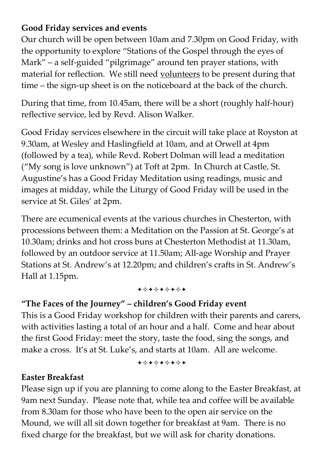# **Good Friday services and events**

Our church will be open between 10am and 7.30pm on Good Friday, with the opportunity to explore "Stations of the Gospel through the eyes of Mark" – a self-guided "pilgrimage" around ten prayer stations, with material for reflection. We still need volunteers to be present during that time – the sign-up sheet is on the noticeboard at the back of the church.

During that time, from 10.45am, there will be a short (roughly half-hour) reflective service, led by Revd. Alison Walker.

Good Friday services elsewhere in the circuit will take place at Royston at 9.30am, at Wesley and Haslingfield at 10am, and at Orwell at 4pm (followed by a tea), while Revd. Robert Dolman will lead a meditation ("My song is love unknown") at Toft at 2pm. In Church at Castle, St. Augustine's has a Good Friday Meditation using readings, music and images at midday, while the Liturgy of Good Friday will be used in the service at St. Giles' at 2pm.

There are ecumenical events at the various churches in Chesterton, with processions between them: a Meditation on the Passion at St. George's at 10.30am; drinks and hot cross buns at Chesterton Methodist at 11.30am, followed by an outdoor service at 11.50am; All-age Worship and Prayer Stations at St. Andrew's at 12.20pm; and children's crafts in St. Andrew's Hall at 1.15pm.

+\*\*\*\*\*\*\*\*

# **"The Faces of the Journey" – children's Good Friday event**

This is a Good Friday workshop for children with their parents and carers, with activities lasting a total of an hour and a half. Come and hear about the first Good Friday: meet the story, taste the food, sing the songs, and make a cross. It's at St. Luke's, and starts at 10am. All are welcome.

+\*+\*+\*+\*+

#### **Easter Breakfast**

Please sign up if you are planning to come along to the Easter Breakfast, at 9am next Sunday. Please note that, while tea and coffee will be available from 8.30am for those who have been to the open air service on the Mound, we will all sit down together for breakfast at 9am. There is no fixed charge for the breakfast, but we will ask for charity donations.